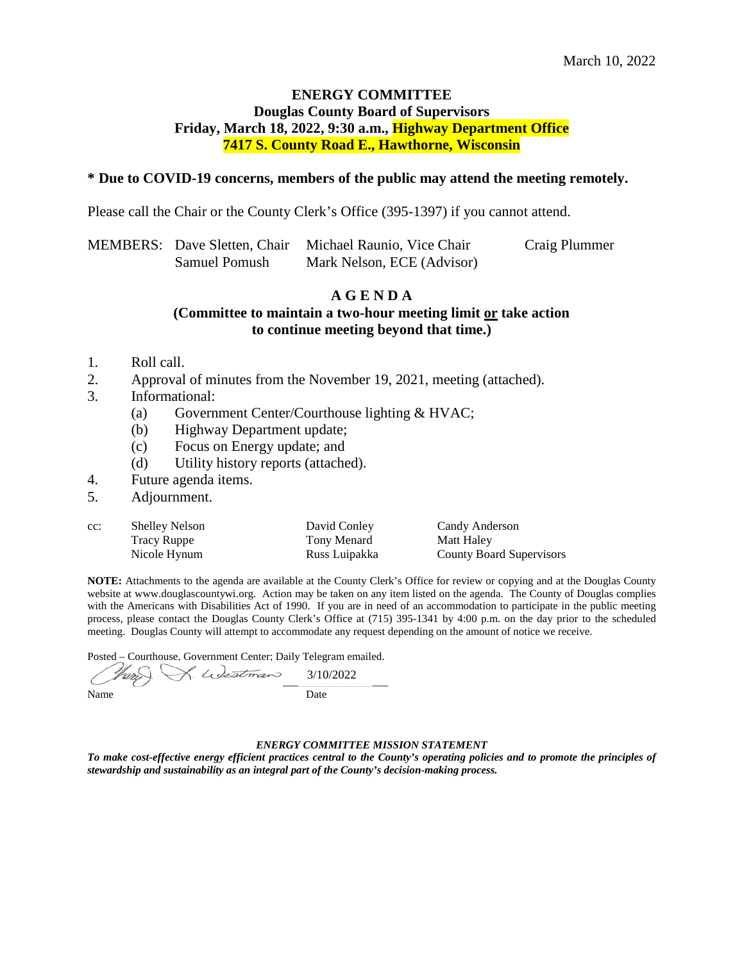## **ENERGY COMMITTEE Douglas County Board of Supervisors Friday, March 18, 2022, 9:30 a.m., Highway Department Office 7417 S. County Road E., Hawthorne, Wisconsin**

### **\* Due to COVID-19 concerns, members of the public may attend the meeting remotely.**

Please call the Chair or the County Clerk's Office (395-1397) if you cannot attend.

|               | MEMBERS: Dave Sletten, Chair Michael Raunio, Vice Chair | Craig Plummer |
|---------------|---------------------------------------------------------|---------------|
| Samuel Pomush | Mark Nelson, ECE (Advisor)                              |               |

### **A G E N D A**

**(Committee to maintain a two-hour meeting limit or take action to continue meeting beyond that time.)**

- 1. Roll call.
- 2. Approval of minutes from the November 19, 2021, meeting (attached).
- 3. Informational:
	- (a) Government Center/Courthouse lighting & HVAC;
	- (b) Highway Department update;
	- (c) Focus on Energy update; and
	- (d) Utility history reports (attached).
- 4. Future agenda items.
- 5. Adjournment.

| cc: | <b>Shelley Nelson</b> | David Conley  | Candy Anderson                  |
|-----|-----------------------|---------------|---------------------------------|
|     | Tracy Ruppe           | Tony Menard   | Matt Haley                      |
|     | Nicole Hynum          | Russ Luipakka | <b>County Board Supervisors</b> |

**NOTE:** Attachments to the agenda are available at the County Clerk's Office for review or copying and at the Douglas County website at www.douglascountywi.org. Action may be taken on any item listed on the agenda. The County of Douglas complies with the Americans with Disabilities Act of 1990. If you are in need of an accommodation to participate in the public meeting process, please contact the Douglas County Clerk's Office at (715) 395-1341 by 4:00 p.m. on the day prior to the scheduled meeting. Douglas County will attempt to accommodate any request depending on the amount of notice we receive.

Posted – Courthouse, Government Center; Daily Telegram emailed.

 $\bigcup_{x,y,z_1,y,z_2,z_2,z_3}$ Name Date 3/10/2022

### *ENERGY COMMITTEE MISSION STATEMENT*

*To make cost-effective energy efficient practices central to the County's operating policies and to promote the principles of stewardship and sustainability as an integral part of the County's decision-making process.*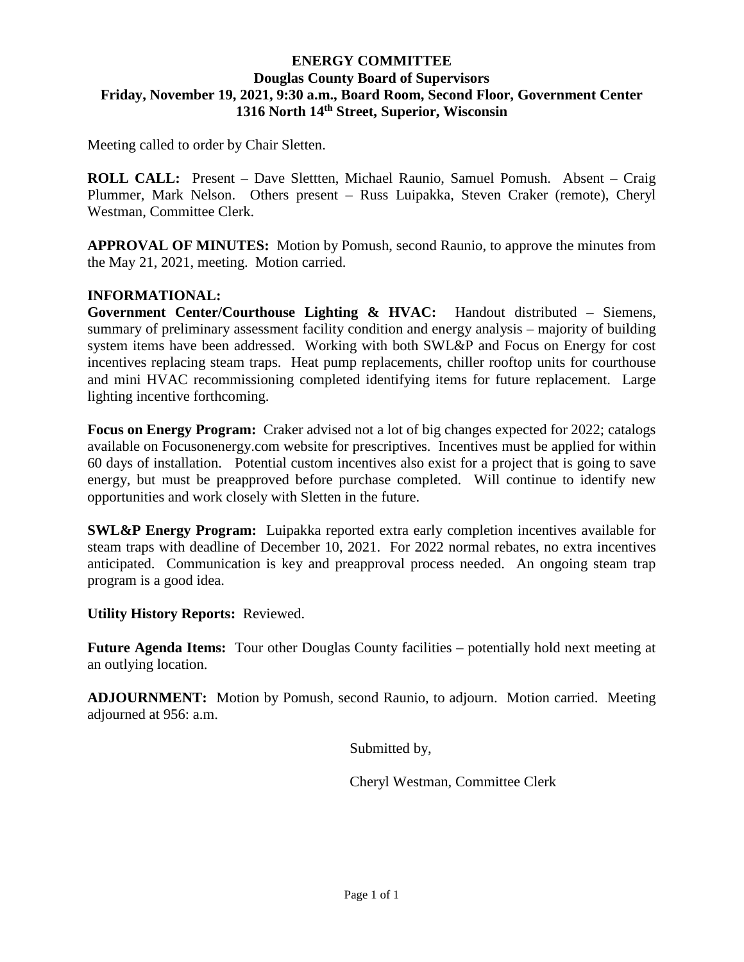# **ENERGY COMMITTEE Douglas County Board of Supervisors Friday, November 19, 2021, 9:30 a.m., Board Room, Second Floor, Government Center 1316 North 14th Street, Superior, Wisconsin**

Meeting called to order by Chair Sletten.

**ROLL CALL:** Present – Dave Slettten, Michael Raunio, Samuel Pomush. Absent – Craig Plummer, Mark Nelson. Others present – Russ Luipakka, Steven Craker (remote), Cheryl Westman, Committee Clerk.

**APPROVAL OF MINUTES:** Motion by Pomush, second Raunio, to approve the minutes from the May 21, 2021, meeting. Motion carried.

# **INFORMATIONAL:**

**Government Center/Courthouse Lighting & HVAC:** Handout distributed – Siemens, summary of preliminary assessment facility condition and energy analysis – majority of building system items have been addressed. Working with both SWL&P and Focus on Energy for cost incentives replacing steam traps. Heat pump replacements, chiller rooftop units for courthouse and mini HVAC recommissioning completed identifying items for future replacement. Large lighting incentive forthcoming.

**Focus on Energy Program:** Craker advised not a lot of big changes expected for 2022; catalogs available on Focusonenergy.com website for prescriptives. Incentives must be applied for within 60 days of installation. Potential custom incentives also exist for a project that is going to save energy, but must be preapproved before purchase completed. Will continue to identify new opportunities and work closely with Sletten in the future.

**SWL&P Energy Program:** Luipakka reported extra early completion incentives available for steam traps with deadline of December 10, 2021. For 2022 normal rebates, no extra incentives anticipated. Communication is key and preapproval process needed. An ongoing steam trap program is a good idea.

**Utility History Reports:** Reviewed.

**Future Agenda Items:** Tour other Douglas County facilities – potentially hold next meeting at an outlying location.

**ADJOURNMENT:** Motion by Pomush, second Raunio, to adjourn. Motion carried. Meeting adjourned at 956: a.m.

Submitted by,

Cheryl Westman, Committee Clerk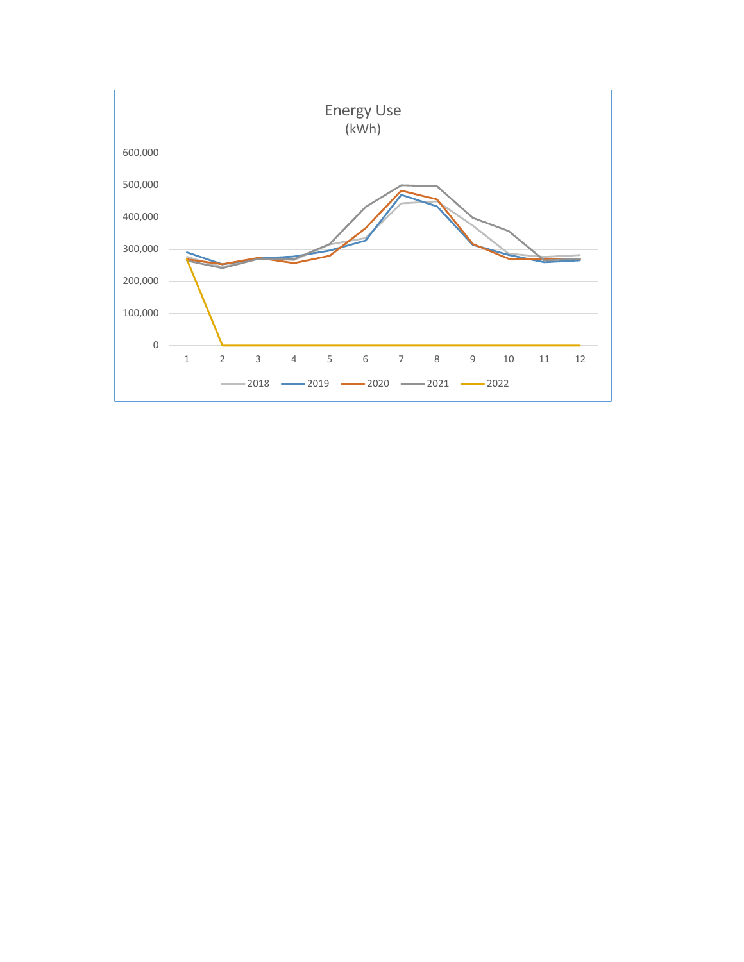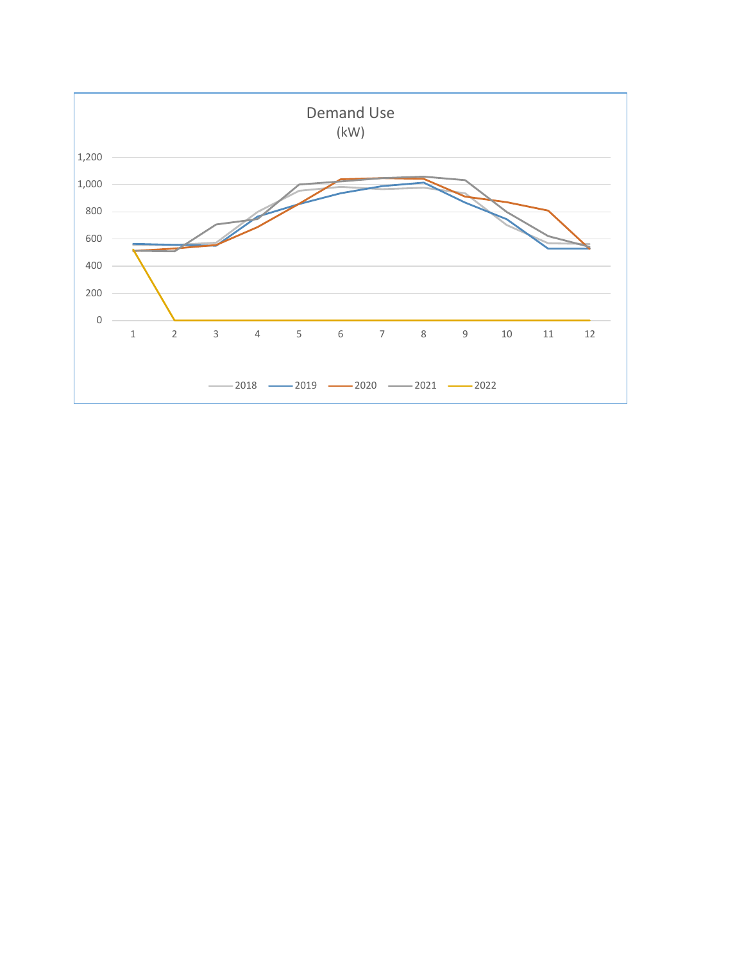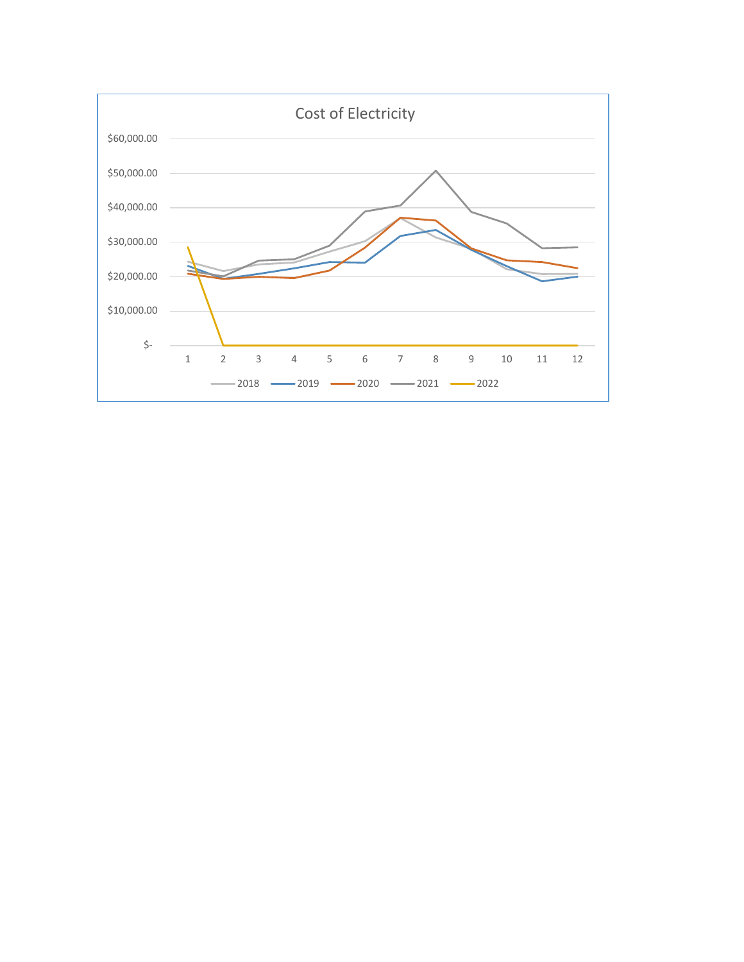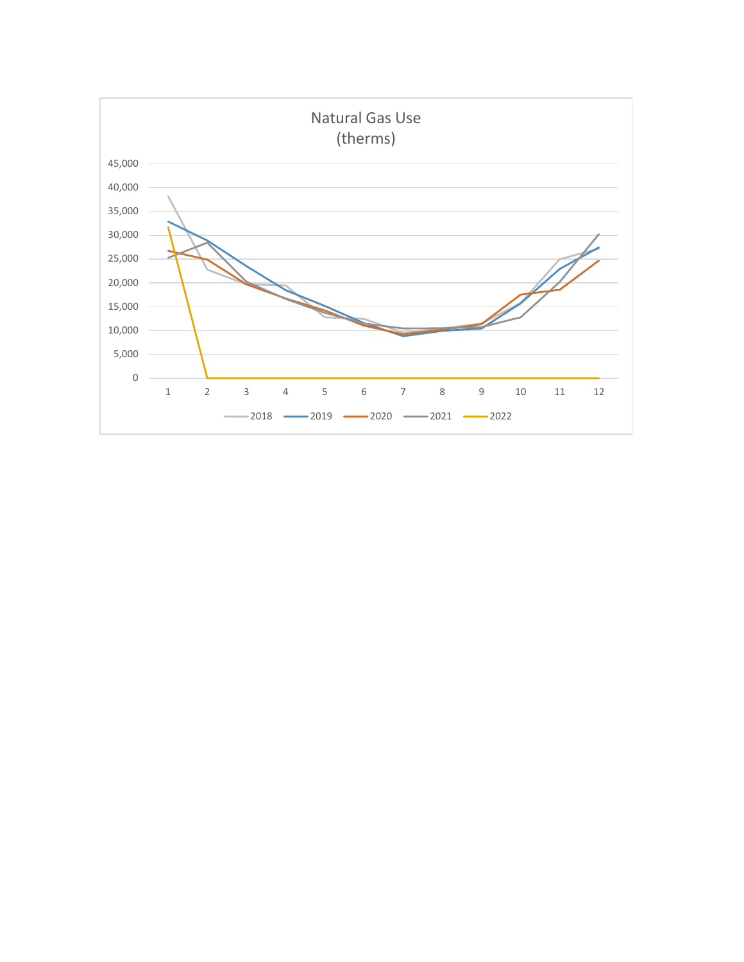